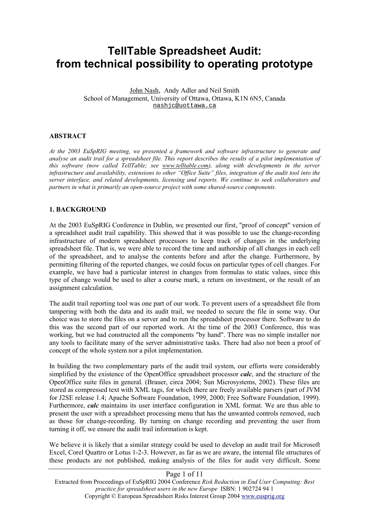# **TellTable Spreadsheet Audit: from technical possibility to operating prototype**

John Nash, Andy Adler and Neil Smith School of Management, University of Ottawa, Ottawa, K1N 6N5, Canada nashjc@uottawa.ca

#### **ABSTRACT**

*At the 2003 EuSpRIG meeting, we presented a framework and software infrastructure to generate and analyse an audit trail for a spreadsheet file. This report describes the results of a pilot implementation of this software (now called TellTable; see www.telltable.com), along with developments in the server infrastructure and availability, extensions to other "Office Suite" files, integration of the audit tool into the server interface, and related developments, licensing and reports. We continue to seek collaborators and partners in what is primarily an open-source project with some shared-source components.* 

#### **1. BACKGROUND**

At the 2003 EuSpRIG Conference in Dublin, we presented our first, "proof of concept" version of a spreadsheet audit trail capability. This showed that it was possible to use the change-recording infrastructure of modern spreadsheet processors to keep track of changes in the underlying spreadsheet file. That is, we were able to record the time and authorship of all changes in each cell of the spreadsheet, and to analyse the contents before and after the change. Furthermore, by permitting filtering of the reported changes, we could focus on particular types of cell changes. For example, we have had a particular interest in changes from formulas to static values, since this type of change would be used to alter a course mark, a return on investment, or the result of an assignment calculation.

The audit trail reporting tool was one part of our work. To prevent users of a spreadsheet file from tampering with both the data and its audit trail, we needed to secure the file in some way. Our choice was to store the files on a server and to run the spreadsheet processor there. Software to do this was the second part of our reported work. At the time of the 2003 Conference, this was working, but we had constructed all the components "by hand". There was no simple installer nor any tools to facilitate many of the server administrative tasks. There had also not been a proof of concept of the whole system nor a pilot implementation.

In building the two complementary parts of the audit trail system, our efforts were considerably simplified by the existence of the OpenOffice spreadsheet processor *calc*, and the structure of the OpenOffice suite files in general. (Brauer, circa 2004; Sun Microsystems, 2002). These files are stored as compressed text with XML tags, for which there are freely available parsers (part of JVM for J2SE release 1.4; Apache Software Foundation, 1999, 2000; Free Software Foundation, 1999). Furthermore, *calc* maintains its user interface configuration in XML format. We are thus able to present the user with a spreadsheet processing menu that has the unwanted controls removed, such as those for change-recording. By turning on change recording and preventing the user from turning it off, we ensure the audit trail information is kept.

We believe it is likely that a similar strategy could be used to develop an audit trail for Microsoft Excel, Corel Quattro or Lotus 1-2-3. However, as far as we are aware, the internal file structures of these products are not published, making analysis of the files for audit very difficult. Some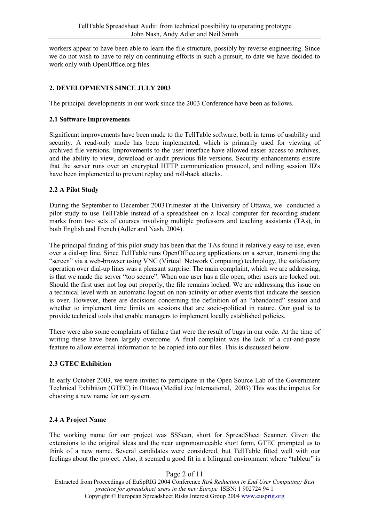workers appear to have been able to learn the file structure, possibly by reverse engineering. Since we do not wish to have to rely on continuing efforts in such a pursuit, to date we have decided to work only with OpenOffice.org files.

## **2. DEVELOPMENTS SINCE JULY 2003**

The principal developments in our work since the 2003 Conference have been as follows.

#### **2.1 Software Improvements**

Significant improvements have been made to the TellTable software, both in terms of usability and security. A read-only mode has been implemented, which is primarily used for viewing of archived file versions. Improvements to the user interface have allowed easier access to archives, and the ability to view, download or audit previous file versions. Security enhancements ensure that the server runs over an encrypted HTTP communication protocol, and rolling session ID's have been implemented to prevent replay and roll-back attacks.

#### **2.2 A Pilot Study**

During the September to December 2003Trimester at the University of Ottawa, we conducted a pilot study to use TellTable instead of a spreadsheet on a local computer for recording student marks from two sets of courses involving multiple professors and teaching assistants (TAs), in both English and French (Adler and Nash, 2004).

The principal finding of this pilot study has been that the TAs found it relatively easy to use, even over a dial-up line. Since TellTable runs OpenOffice.org applications on a server, transmitting the "screen" via a web-browser using VNC (Virtual Network Computing) technology, the satisfactory operation over dial-up lines was a pleasant surprise. The main complaint, which we are addressing, is that we made the server "too secure". When one user has a file open, other users are locked out. Should the first user not log out properly, the file remains locked. We are addressing this issue on a technical level with an automatic logout on non-activity or other events that indicate the session is over. However, there are decisions concerning the definition of an "abandoned" session and whether to implement time limits on sessions that are socio-political in nature. Our goal is to provide technical tools that enable managers to implement locally established policies.

There were also some complaints of failure that were the result of bugs in our code. At the time of writing these have been largely overcome. A final complaint was the lack of a cut-and-paste feature to allow external information to be copied into our files. This is discussed below.

## **2.3 GTEC Exhibition**

In early October 2003, we were invited to participate in the Open Source Lab of the Government Technical Exhibition (GTEC) in Ottawa (MediaLive International, 2003) This was the impetus for choosing a new name for our system.

## **2.4 A Project Name**

The working name for our project was SSScan, short for SpreadSheet Scanner. Given the extensions to the original ideas and the near unpronounceable short form, GTEC prompted us to think of a new name. Several candidates were considered, but TellTable fitted well with our feelings about the project. Also, it seemed a good fit in a bilingual environment where "tableur" is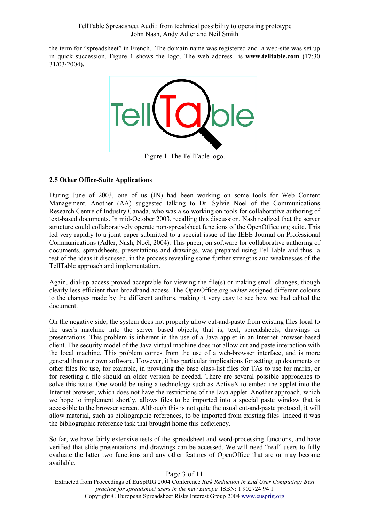the term for "spreadsheet" in French. The domain name was registered and a web-site was set up in quick succession. Figure 1 shows the logo. The web address is **www.telltable.com (**17:30 31/03/2004)**.**



## **2.5 Other Office-Suite Applications**

During June of 2003, one of us (JN) had been working on some tools for Web Content Management. Another (AA) suggested talking to Dr. Sylvie Noël of the Communications Research Centre of Industry Canada, who was also working on tools for collaborative authoring of text-based documents. In mid-October 2003, recalling this discussion, Nash realized that the server structure could collaboratively operate non-spreadsheet functions of the OpenOffice.org suite. This led very rapidly to a joint paper submitted to a special issue of the IEEE Journal on Professional Communications (Adler, Nash, Noël, 2004). This paper, on software for collaborative authoring of documents, spreadsheets, presentations and drawings, was prepared using TellTable and thus a test of the ideas it discussed, in the process revealing some further strengths and weaknesses of the TellTable approach and implementation.

Again, dial-up access proved acceptable for viewing the file(s) or making small changes, though clearly less efficient than broadband access. The OpenOffice.org *writer* assigned different colours to the changes made by the different authors, making it very easy to see how we had edited the document.

On the negative side, the system does not properly allow cut-and-paste from existing files local to the user's machine into the server based objects, that is, text, spreadsheets, drawings or presentations. This problem is inherent in the use of a Java applet in an Internet browser-based client. The security model of the Java virtual machine does not allow cut and paste interaction with the local machine. This problem comes from the use of a web-browser interface, and is more general than our own software. However, it has particular implications for setting up documents or other files for use, for example, in providing the base class-list files for TAs to use for marks, or for resetting a file should an older version be needed. There are several possible approaches to solve this issue. One would be using a technology such as ActiveX to embed the applet into the Internet browser, which does not have the restrictions of the Java applet. Another approach, which we hope to implement shortly, allows files to be imported into a special paste window that is accessible to the browser screen. Although this is not quite the usual cut-and-paste protocol, it will allow material, such as bibliographic references, to be imported from existing files. Indeed it was the bibliographic reference task that brought home this deficiency.

So far, we have fairly extensive tests of the spreadsheet and word-processing functions, and have verified that slide presentations and drawings can be accessed. We will need "real" users to fully evaluate the latter two functions and any other features of OpenOffice that are or may become available.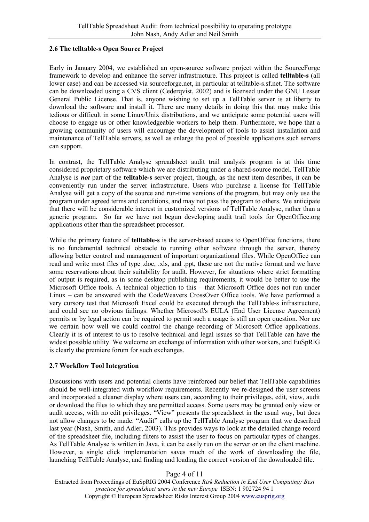#### **2.6 The telltable-s Open Source Project**

Early in January 2004, we established an open-source software project within the SourceForge framework to develop and enhance the server infrastructure. This project is called **telltable-s** (all lower case) and can be accessed via sourceforge.net, in particular at telltable-s.sf.net. The software can be downloaded using a CVS client (Cederqvist, 2002) and is licensed under the GNU Lesser General Public License. That is, anyone wishing to set up a TellTable server is at liberty to download the software and install it. There are many details in doing this that may make this tedious or difficult in some Linux/Unix distributions, and we anticipate some potential users will choose to engage us or other knowledgeable workers to help them. Furthermore, we hope that a growing community of users will encourage the development of tools to assist installation and maintenance of TellTable servers, as well as enlarge the pool of possible applications such servers can support.

In contrast, the TellTable Analyse spreadsheet audit trail analysis program is at this time considered proprietary software which we are distributing under a shared-source model. TellTable Analyse is *not* part of the **telltable-s** server project, though, as the next item describes, it can be conveniently run under the server infrastructure. Users who purchase a license for TellTable Analyse will get a copy of the source and run-time versions of the program, but may only use the program under agreed terms and conditions, and may not pass the program to others. We anticipate that there will be considerable interest in customized versions of TellTable Analyse, rather than a generic program. So far we have not begun developing audit trail tools for OpenOffice.org applications other than the spreadsheet processor.

While the primary feature of **telltable-s** is the server-based access to OpenOffice functions, there is no fundamental technical obstacle to running other software through the server, thereby allowing better control and management of important organizational files. While OpenOffice can read and write most files of type .doc, .xls, and .ppt, these are not the native format and we have some reservations about their suitability for audit. However, for situations where strict formatting of output is required, as in some desktop publishing requirements, it would be better to use the Microsoft Office tools. A technical objection to this – that Microsoft Office does not run under Linux – can be answered with the CodeWeavers CrossOver Office tools. We have performed a very cursory test that Microsoft Excel could be executed through the TellTable-s infrastructure, and could see no obvious failings. Whether Microsoft's EULA (End User License Agreement) permits or by legal action can be required to permit such a usage is still an open question. Nor are we certain how well we could control the change recording of Microsoft Office applications. Clearly it is of interest to us to resolve technical and legal issues so that TellTable can have the widest possible utility. We welcome an exchange of information with other workers, and EuSpRIG is clearly the premiere forum for such exchanges.

#### **2.7 Workflow Tool Integration**

Discussions with users and potential clients have reinforced our belief that TellTable capabilities should be well-integrated with workflow requirements. Recently we re-designed the user screens and incorporated a cleaner display where users can, according to their privileges, edit, view, audit or download the files to which they are permitted access. Some users may be granted only view or audit access, with no edit privileges. "View" presents the spreadsheet in the usual way, but does not allow changes to be made. "Audit" calls up the TellTable Analyse program that we described last year (Nash, Smith, and Adler, 2003). This provides ways to look at the detailed change record of the spreadsheet file, including filters to assist the user to focus on particular types of changes. As TellTable Analyse is written in Java, it can be easily run on the server or on the client machine. However, a single click implementation saves much of the work of downloading the file, launching TellTable Analyse, and finding and loading the correct version of the downloaded file.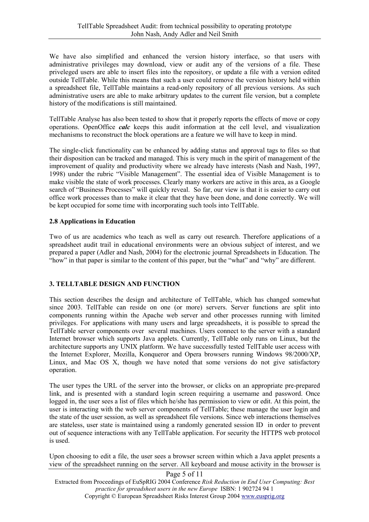We have also simplified and enhanced the version history interface, so that users with administrative privileges may download, view or audit any of the versions of a file. These priveleged users are able to insert files into the repository, or update a file with a version edited outside TellTable. While this means that such a user could remove the version history held within a spreadsheet file, TellTable maintains a read-only repository of all previous versions. As such administrative users are able to make arbitrary updates to the current file version, but a complete history of the modifications is still maintained.

TellTable Analyse has also been tested to show that it properly reports the effects of move or copy operations. OpenOffice *calc* keeps this audit information at the cell level, and visualization mechanisms to reconstruct the block operations are a feature we will have to keep in mind.

The single-click functionality can be enhanced by adding status and approval tags to files so that their disposition can be tracked and managed. This is very much in the spirit of management of the improvement of quality and productivity where we already have interests (Nash and Nash, 1997, 1998) under the rubric "Visible Management". The essential idea of Visible Management is to make visible the state of work processes. Clearly many workers are active in this area, as a Google search of "Business Processes" will quickly reveal. So far, our view is that it is easier to carry out office work processes than to make it clear that they have been done, and done correctly. We will be kept occupied for some time with incorporating such tools into TellTable.

#### **2.8 Applications in Education**

Two of us are academics who teach as well as carry out research. Therefore applications of a spreadsheet audit trail in educational environments were an obvious subject of interest, and we prepared a paper (Adler and Nash, 2004) for the electronic journal Spreadsheets in Education. The "how" in that paper is similar to the content of this paper, but the "what" and "why" are different.

## **3. TELLTABLE DESIGN AND FUNCTION**

This section describes the design and architecture of TellTable, which has changed somewhat since 2003. TellTable can reside on one (or more) servers. Server functions are split into components running within the Apache web server and other processes running with limited privileges. For applications with many users and large spreadsheets, it is possible to spread the TellTable server components over several machines. Users connect to the server with a standard Internet browser which supports Java applets. Currently, TellTable only runs on Linux, but the architecture supports any UNIX platform. We have successfully tested TellTable user access with the Internet Explorer, Mozilla, Konqueror and Opera browsers running Windows 98/2000/XP, Linux, and Mac OS X, though we have noted that some versions do not give satisfactory operation.

The user types the URL of the server into the browser, or clicks on an appropriate pre-prepared link, and is presented with a standard login screen requiring a username and password. Once logged in, the user sees a list of files which he/she has permission to view or edit. At this point, the user is interacting with the web server components of TellTable; these manage the user login and the state of the user session, as well as spreadsheet file versions. Since web interactions themselves are stateless, user state is maintained using a randomly generated session ID in order to prevent out of sequence interactions with any TellTable application. For security the HTTPS web protocol is used.

Upon choosing to edit a file, the user sees a browser screen within which a Java applet presents a view of the spreadsheet running on the server. All keyboard and mouse activity in the browser is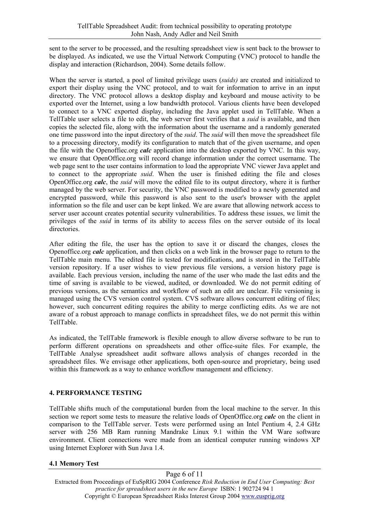sent to the server to be processed, and the resulting spreadsheet view is sent back to the browser to be displayed. As indicated, we use the Virtual Network Computing (VNC) protocol to handle the display and interaction (Richardson, 2004). Some details follow.

When the server is started, a pool of limited privilege users (*suids)* are created and initialized to export their display using the VNC protocol, and to wait for information to arrive in an input directory. The VNC protocol allows a desktop display and keyboard and mouse activity to be exported over the Internet, using a low bandwidth protocol. Various clients have been developed to connect to a VNC exported display, including the Java applet used in TellTable. When a TellTable user selects a file to edit, the web server first verifies that a *suid* is available, and then copies the selected file, along with the information about the username and a randomly generated one time password into the input directory of the *suid*. The *suid* will then move the spreadsheet file to a processing directory, modify its configuration to match that of the given username, and open the file with the Openoffiec.org *calc* application into the desktop exported by VNC. In this way, we ensure that OpenOffice.org will record change information under the correct username. The web page sent to the user contains information to load the appropriate VNC viewer Java applet and to connect to the appropriate *suid*. When the user is finished editing the file and closes OpenOffice.org *calc*, the *suid* will move the edited file to its output directory, where it is further managed by the web server. For security, the VNC password is modified to a newly generated and encrypted password, while this password is also sent to the user's browser with the applet information so the file and user can be kept linked. We are aware that allowing network access to server user account creates potential security vulnerabilities. To address these issues, we limit the privileges of the *suid* in terms of its ability to access files on the server outside of its local directories.

After editing the file, the user has the option to save it or discard the changes, closes the Openoffice.org *calc* application, and then clicks on a web link in the browser page to return to the TellTable main menu. The edited file is tested for modifications, and is stored in the TellTable version repository. If a user wishes to view previous file versions, a version history page is available. Each previous version, including the name of the user who made the last edits and the time of saving is available to be viewed, audited, or downloaded. We do not permit editing of previous versions, as the semantics and workflow of such an edit are unclear. File versioning is managed using the CVS version control system. CVS software allows concurrent editing of files; however, such concurrent editing requires the ability to merge conflicting edits. As we are not aware of a robust approach to manage conflicts in spreadsheet files, we do not permit this within TellTable.

As indicated, the TellTable framework is flexible enough to allow diverse software to be run to perform different operations on spreadsheets and other office-suite files. For example, the TellTable Analyse spreadsheet audit software allows analysis of changes recorded in the spreadsheet files. We envisage other applications, both open-source and proprietary, being used within this framework as a way to enhance workflow management and efficiency.

## **4. PERFORMANCE TESTING**

TellTable shifts much of the computational burden from the local machine to the server. In this section we report some tests to measure the relative loads of OpenOffice.org *calc* on the client in comparison to the TellTable server. Tests were performed using an Intel Pentium 4, 2.4 GHz server with 256 MB Ram running Mandrake Linux 9.1 within the VM Ware software environment. Client connections were made from an identical computer running windows XP using Internet Explorer with Sun Java 1.4.

## **4.1 Memory Test**

Page 6 of 11 Extracted from Proceedings of EuSpRIG 2004 Conference *Risk Reduction in End User Computing: Best practice for spreadsheet users in the new Europe* ISBN: 1 902724 94 1 Copyright © European Spreadsheet Risks Interest Group 2004 www.eusprig.org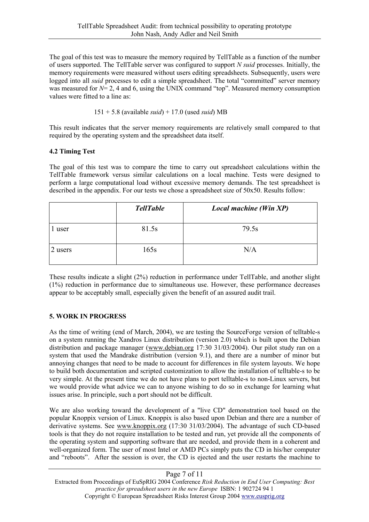The goal of this test was to measure the memory required by TellTable as a function of the number of users supported. The TellTable server was configured to support *N suid* processes. Initially, the memory requirements were measured without users editing spreadsheets. Subsequently, users were logged into all *suid* processes to edit a simple spreadsheet. The total "committed" server memory was measured for  $N= 2$ , 4 and 6, using the UNIX command "top". Measured memory consumption values were fitted to a line as:

151 + 5.8 (available *suid*) + 17.0 (used *suid*) MB

This result indicates that the server memory requirements are relatively small compared to that required by the operating system and the spreadsheet data itself.

## **4.2 Timing Test**

The goal of this test was to compare the time to carry out spreadsheet calculations within the TellTable framework versus similar calculations on a local machine. Tests were designed to perform a large computational load without excessive memory demands. The test spreadsheet is described in the appendix. For our tests we chose a spreadsheet size of 50x50. Results follow:

|         | <b>TellTable</b> | Local machine (Win XP) |
|---------|------------------|------------------------|
| 1 user  | 81.5s            | 79.5s                  |
| 2 users | 165s             | N/A                    |

These results indicate a slight (2%) reduction in performance under TellTable, and another slight (1%) reduction in performance due to simultaneous use. However, these performance decreases appear to be acceptably small, especially given the benefit of an assured audit trail.

## **5. WORK IN PROGRESS**

As the time of writing (end of March, 2004), we are testing the SourceForge version of telltable-s on a system running the Xandros Linux distribution (version 2.0) which is built upon the Debian distribution and package manager (www.debian.org 17:30 31/03/2004). Our pilot study ran on a system that used the Mandrake distribution (version 9.1), and there are a number of minor but annoying changes that need to be made to account for differences in file system layouts. We hope to build both documentation and scripted customization to allow the installation of telltable-s to be very simple. At the present time we do not have plans to port telltable-s to non-Linux servers, but we would provide what advice we can to anyone wishing to do so in exchange for learning what issues arise. In principle, such a port should not be difficult.

We are also working toward the development of a "live CD" demonstration tool based on the popular Knoppix version of Linux. Knoppix is also based upon Debian and there are a number of derivative systems. See www.knoppix.org (17:30 31/03/2004). The advantage of such CD-based tools is that they do not require installation to be tested and run, yet provide all the components of the operating system and supporting software that are needed, and provide them in a coherent and well-organized form. The user of most Intel or AMD PCs simply puts the CD in his/her computer and "reboots". After the session is over, the CD is ejected and the user restarts the machine to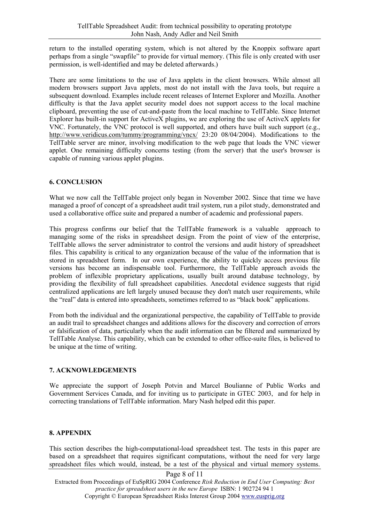return to the installed operating system, which is not altered by the Knoppix software apart perhaps from a single "swapfile" to provide for virtual memory. (This file is only created with user permission, is well-identified and may be deleted afterwards.)

There are some limitations to the use of Java applets in the client browsers. While almost all modern browsers support Java applets, most do not install with the Java tools, but require a subsequent download. Examples include recent releases of Internet Explorer and Mozilla. Another difficulty is that the Java applet security model does not support access to the local machine clipboard, preventing the use of cut-and-paste from the local machine to TellTable. Since Internet Explorer has built-in support for Active X plugins, we are exploring the use of Active X applets for VNC. Fortunately, the VNC protocol is well supported, and others have built such support (e.g., http://www.veridicus.com/tummy/programming/vncx/ 23:20 08/04/2004). Modifications to the TellTable server are minor, involving modification to the web page that loads the VNC viewer applet. One remaining difficulty concerns testing (from the server) that the user's browser is capable of running various applet plugins.

#### **6. CONCLUSION**

What we now call the TellTable project only began in November 2002. Since that time we have managed a proof of concept of a spreadsheet audit trail system, run a pilot study, demonstrated and used a collaborative office suite and prepared a number of academic and professional papers.

This progress confirms our belief that the TellTable framework is a valuable approach to managing some of the risks in spreadsheet design. From the point of view of the enterprise, TellTable allows the server administrator to control the versions and audit history of spreadsheet files. This capability is critical to any organization because of the value of the information that is stored in spreadsheet form. In our own experience, the ability to quickly access previous file versions has become an indispensable tool. Furthermore, the TellTable approach avoids the problem of inflexible proprietary applications, usually built around database technology, by providing the flexibility of full spreadsheet capabilities. Anecdotal evidence suggests that rigid centralized applications are left largely unused because they don't match user requirements, while the "real" data is entered into spreadsheets, sometimes referred to as "black book" applications.

From both the individual and the organizational perspective, the capability of TellTable to provide an audit trail to spreadsheet changes and additions allows for the discovery and correction of errors or falsification of data, particularly when the audit information can be filtered and summarized by TellTable Analyse. This capability, which can be extended to other office-suite files, is believed to be unique at the time of writing.

## **7. ACKNOWLEDGEMENTS**

We appreciate the support of Joseph Potvin and Marcel Boulianne of Public Works and Government Services Canada, and for inviting us to participate in GTEC 2003, and for help in correcting translations of TellTable information. Mary Nash helped edit this paper.

## **8. APPENDIX**

This section describes the high-computational-load spreadsheet test. The tests in this paper are based on a spreadsheet that requires significant computations, without the need for very large spreadsheet files which would, instead, be a test of the physical and virtual memory systems.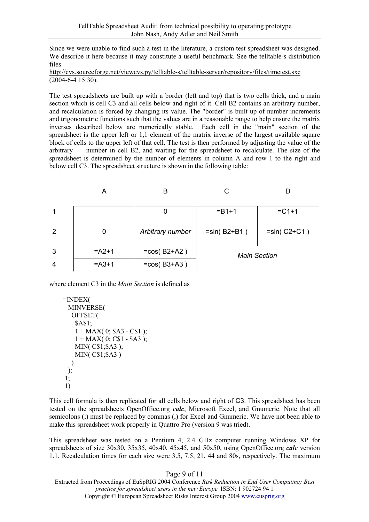Since we were unable to find such a test in the literature, a custom test spreadsheet was designed. We describe it here because it may constitute a useful benchmark. See the telltable-s distribution files

http://cvs.sourceforge.net/viewcvs.py/telltable-s/telltable-server/repository/files/timetest.sxc (2004-6-4 15:30).

The test spreadsheets are built up with a border (left and top) that is two cells thick, and a main section which is cell C3 and all cells below and right of it. Cell B2 contains an arbitrary number, and recalculation is forced by changing its value. The "border" is built up of number increments and trigonometric functions such that the values are in a reasonable range to help ensure the matrix inverses described below are numerically stable. Each cell in the "main" section of the spreadsheet is the upper left or 1,1 element of the matrix inverse of the largest available square block of cells to the upper left of that cell. The test is then performed by adjusting the value of the arbitrary number in cell B2, and waiting for the spreadsheet to recalculate. The size of the spreadsheet is determined by the number of elements in column A and row 1 to the right and below cell C3. The spreadsheet structure is shown in the following table:

|                | A        | в                |                     |               |
|----------------|----------|------------------|---------------------|---------------|
| 1              |          |                  | $= B1 + 1$          | $=C1+1$       |
| $\overline{2}$ | 0        | Arbitrary number | $=sin(B2+B1)$       | $=sin(C2+C1)$ |
| 3              | $= A2+1$ | $=cos(B2+A2)$    | <b>Main Section</b> |               |
| $\overline{4}$ | $= A3+1$ | $=cos(B3+A3)$    |                     |               |

where element C3 in the *Main Section* is defined as

```
=INDEX(
 MINVERSE( 
  OFFSET( 
    $A$1; 
    1 + MAX(0; SA3 - CS1):1 + MAX(0; C$1 - $A3 );
    MIN( C$1;$A3 ); 
    MIN( C$1;$A3 ) 
  )
 ); 
1; 
1)
```
This cell formula is then replicated for all cells below and right of C3. This spreadsheet has been tested on the spreadsheets OpenOffice.org *calc*, Microsoft Excel, and Gnumeric. Note that all semicolons (;) must be replaced by commas (,) for Excel and Gnumeric. We have not been able to make this spreadsheet work properly in Quattro Pro (version 9 was tried).

This spreadsheet was tested on a Pentium 4, 2.4 GHz computer running Windows XP for spreadsheets of size 30x30, 35x35, 40x40, 45x45, and 50x50, using OpenOffice.org *calc* version 1.1. Recalculation times for each size were 3.5, 7.5, 21, 44 and 80s, respectively. The maximum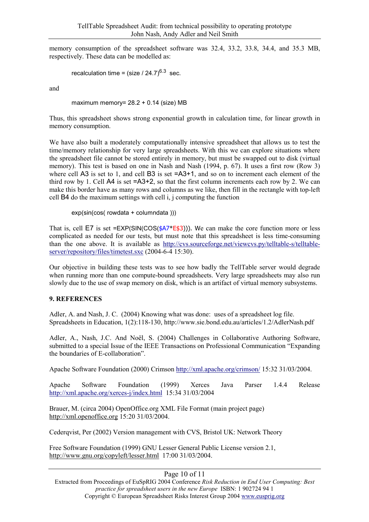memory consumption of the spreadsheet software was 32.4, 33.2, 33.8, 34.4, and 35.3 MB, respectively. These data can be modelled as:

```
recalculation time = (size / 24.7)^{6.3} sec.
```
and

maximum memory=  $28.2 + 0.14$  (size) MB

Thus, this spreadsheet shows strong exponential growth in calculation time, for linear growth in memory consumption.

We have also built a moderately computationally intensive spreadsheet that allows us to test the time/memory relationship for very large spreadsheets. With this we can explore situations where the spreadsheet file cannot be stored entirely in memory, but must be swapped out to disk (virtual memory). This test is based on one in Nash and Nash (1994, p. 67). It uses a first row (Row 3) where cell A3 is set to 1, and cell B3 is set  $=$ A3+1, and so on to increment each element of the third row by 1. Cell  $\overline{A4}$  is set  $=\overline{A3+2}$ , so that the first column increments each row by 2. We can make this border have as many rows and columns as we like, then fill in the rectangle with top-left cell B4 do the maximum settings with cell i, j computing the function

```
exp(sin(cos( rowdata + columndata )))
```
That is, cell  $E7$  is set  $=EXP(SIN(COS(4A7*E43)))$ . We can make the core function more or less complicated as needed for our tests, but must note that this spreadsheet is less time-consuming than the one above. It is available as http://cvs.sourceforge.net/viewcvs.py/telltable-s/telltableserver/repository/files/timetest.sxc (2004-6-4 15:30).

Our objective in building these tests was to see how badly the TellTable server would degrade when running more than one compute-bound spreadsheets. Very large spreadsheets may also run slowly due to the use of swap memory on disk, which is an artifact of virtual memory subsystems.

#### **9. REFERENCES**

Adler, A. and Nash, J. C. (2004) Knowing what was done: uses of a spreadsheet log file. Spreadsheets in Education, 1(2):118-130, http://www.sie.bond.edu.au/articles/1.2/AdlerNash.pdf

Adler, A., Nash, J.C. And Noël, S. (2004) Challenges in Collaborative Authoring Software, submitted to a special Issue of the IEEE Transactions on Professional Communication "Expanding the boundaries of E-collaboration".

Apache Software Foundation (2000) Crimson http://xml.apache.org/crimson/ 15:32 31/03/2004.

Apache Software Foundation (1999) Xerces Java Parser 1.4.4 Release http://xml.apache.org/xerces-j/index.html 15:34 31/03/2004

Brauer, M. (circa 2004) OpenOffice.org XML File Format (main project page) http://xml.openoffice.org 15:20 31/03/2004.

Cederqvist, Per (2002) Version management with CVS, Bristol UK: Network Theory

Free Software Foundation (1999) GNU Lesser General Public License version 2.1, http://www.gnu.org/copyleft/lesser.html 17:00 31/03/2004.

#### Page 10 of 11

Extracted from Proceedings of EuSpRIG 2004 Conference *Risk Reduction in End User Computing: Best practice for spreadsheet users in the new Europe* ISBN: 1 902724 94 1 Copyright © European Spreadsheet Risks Interest Group 2004 www.eusprig.org